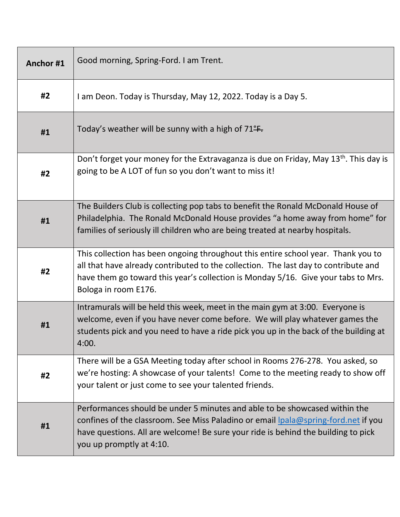| Anchor#1 | Good morning, Spring-Ford. I am Trent.                                                                                                                                                                                                                                                |
|----------|---------------------------------------------------------------------------------------------------------------------------------------------------------------------------------------------------------------------------------------------------------------------------------------|
| #2       | I am Deon. Today is Thursday, May 12, 2022. Today is a Day 5.                                                                                                                                                                                                                         |
| #1       | Today's weather will be sunny with a high of $71^{\circ}$ F.                                                                                                                                                                                                                          |
| #2       | Don't forget your money for the Extravaganza is due on Friday, May 13 <sup>th</sup> . This day is<br>going to be A LOT of fun so you don't want to miss it!                                                                                                                           |
| #1       | The Builders Club is collecting pop tabs to benefit the Ronald McDonald House of<br>Philadelphia. The Ronald McDonald House provides "a home away from home" for<br>families of seriously ill children who are being treated at nearby hospitals.                                     |
| #2       | This collection has been ongoing throughout this entire school year. Thank you to<br>all that have already contributed to the collection. The last day to contribute and<br>have them go toward this year's collection is Monday 5/16. Give your tabs to Mrs.<br>Bologa in room E176. |
| #1       | Intramurals will be held this week, meet in the main gym at 3:00. Everyone is<br>welcome, even if you have never come before. We will play whatever games the<br>students pick and you need to have a ride pick you up in the back of the building at<br>4:00.                        |
| #2       | There will be a GSA Meeting today after school in Rooms 276-278. You asked, so<br>we're hosting: A showcase of your talents! Come to the meeting ready to show off<br>your talent or just come to see your talented friends.                                                          |
| #1       | Performances should be under 5 minutes and able to be showcased within the<br>confines of the classroom. See Miss Paladino or email lpala@spring-ford.net if you<br>have questions. All are welcome! Be sure your ride is behind the building to pick<br>you up promptly at 4:10.     |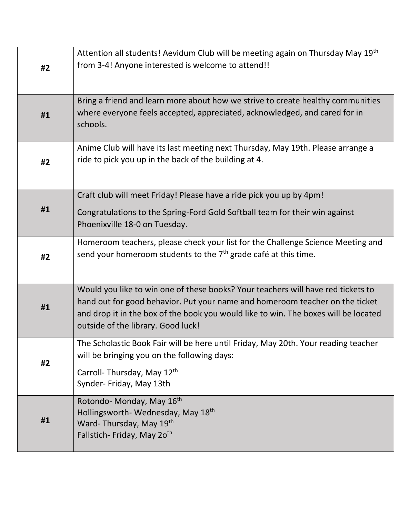| #2 | Attention all students! Aevidum Club will be meeting again on Thursday May 19th<br>from 3-4! Anyone interested is welcome to attend!!                                                                                                                                                         |
|----|-----------------------------------------------------------------------------------------------------------------------------------------------------------------------------------------------------------------------------------------------------------------------------------------------|
| #1 | Bring a friend and learn more about how we strive to create healthy communities<br>where everyone feels accepted, appreciated, acknowledged, and cared for in<br>schools.                                                                                                                     |
| #2 | Anime Club will have its last meeting next Thursday, May 19th. Please arrange a<br>ride to pick you up in the back of the building at 4.                                                                                                                                                      |
| #1 | Craft club will meet Friday! Please have a ride pick you up by 4pm!<br>Congratulations to the Spring-Ford Gold Softball team for their win against<br>Phoenixville 18-0 on Tuesday.                                                                                                           |
| #2 | Homeroom teachers, please check your list for the Challenge Science Meeting and<br>send your homeroom students to the $7th$ grade café at this time.                                                                                                                                          |
| #1 | Would you like to win one of these books? Your teachers will have red tickets to<br>hand out for good behavior. Put your name and homeroom teacher on the ticket<br>and drop it in the box of the book you would like to win. The boxes will be located<br>outside of the library. Good luck! |
| #2 | The Scholastic Book Fair will be here until Friday, May 20th. Your reading teacher<br>will be bringing you on the following days:<br>Carroll-Thursday, May 12th<br>Synder- Friday, May 13th                                                                                                   |
| #1 | Rotondo-Monday, May 16 <sup>th</sup><br>Hollingsworth-Wednesday, May 18 <sup>th</sup><br>Ward-Thursday, May 19th<br>Fallstich- Friday, May 20 <sup>th</sup>                                                                                                                                   |